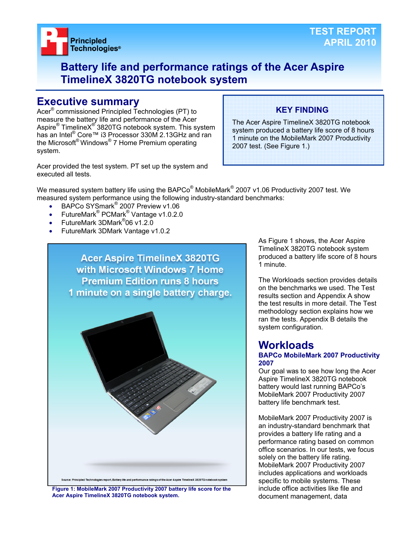

## **Battery life and performance ratings of the Acer Aspire TimelineX 3820TG notebook system**

## **Executive summary**

Acer® commissioned Principled Technologies (PT) to measure the battery life and performance of the Acer Aspire® TimelineX<sup>®</sup> 3820TG notebook system. This system has an Intel® Core™ i3 Processor 330M 2.13GHz and ran the Microsoft® Windows® 7 Home Premium operating system.

Acer provided the test system. PT set up the system and executed all tests.

## **KEY FINDING**

The Acer Aspire TimelineX 3820TG notebook system produced a battery life score of 8 hours 1 minute on the MobileMark 2007 Productivity 2007 test. (See Figure 1.)

We measured system battery life using the BAPCo $^{\circledast}$  MobileMark $^{\circledast}$  2007 v1.06 Productivity 2007 test. We measured system performance using the following industry-standard benchmarks:

- BAPCo SYSmark<sup>®</sup> 2007 Preview v1.06
- FutureMark<sup>®</sup> PCMark<sup>®</sup> Vantage v1.0.2.0
- FutureMark 3DMark<sup>®</sup>06 v1.2.0
- FutureMark 3DMark Vantage v1.0.2



**Figure 1: MobileMark 2007 Productivity 2007 battery life score for the Acer Aspire TimelineX 3820TG notebook system.** 

As Figure 1 shows, the Acer Aspire TimelineX 3820TG notebook system produced a battery life score of 8 hours 1 minute.

The Workloads section provides details on the benchmarks we used. The Test results section and Appendix A show the test results in more detail. The Test methodology section explains how we ran the tests. Appendix B details the system configuration.

## **Workloads**

#### **BAPCo MobileMark 2007 Productivity 2007**

Our goal was to see how long the Acer Aspire TimelineX 3820TG notebook battery would last running BAPCo's MobileMark 2007 Productivity 2007 battery life benchmark test.

MobileMark 2007 Productivity 2007 is an industry-standard benchmark that provides a battery life rating and a performance rating based on common office scenarios. In our tests, we focus solely on the battery life rating. MobileMark 2007 Productivity 2007 includes applications and workloads specific to mobile systems. These include office activities like file and document management, data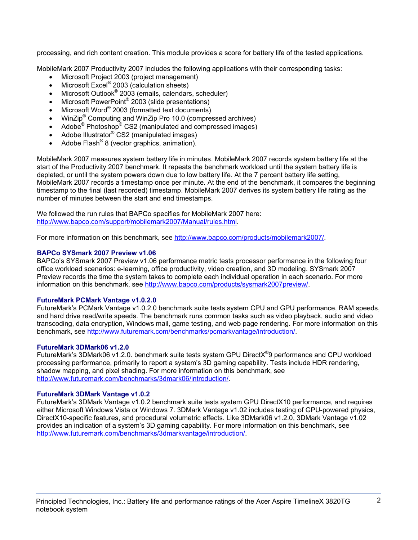processing, and rich content creation. This module provides a score for battery life of the tested applications.

MobileMark 2007 Productivity 2007 includes the following applications with their corresponding tasks:

- Microsoft Project 2003 (project management)
- $\bullet$  Microsoft Excel® 2003 (calculation sheets)
- Microsoft Outlook<sup>®</sup> 2003 (emails, calendars, scheduler)
- Microsoft PowerPoint<sup>®</sup> 2003 (slide presentations)
- Microsoft Word® 2003 (formatted text documents)
- WinZip<sup>®</sup> Computing and WinZip Pro 10.0 (compressed archives)
- Adobe<sup>®</sup> Photoshop<sup>®</sup> CS2 (manipulated and compressed images)
- Adobe Illustrator<sup>®</sup> CS2 (manipulated images)
- Adobe Flash<sup>®</sup> 8 (vector graphics, animation).

MobileMark 2007 measures system battery life in minutes. MobileMark 2007 records system battery life at the start of the Productivity 2007 benchmark. It repeats the benchmark workload until the system battery life is depleted, or until the system powers down due to low battery life. At the 7 percent battery life setting, MobileMark 2007 records a timestamp once per minute. At the end of the benchmark, it compares the beginning timestamp to the final (last recorded) timestamp. MobileMark 2007 derives its system battery life rating as the number of minutes between the start and end timestamps.

We followed the run rules that BAPCo specifies for MobileMark 2007 here: http://www.bapco.com/support/mobilemark2007/Manual/rules.html.

For more information on this benchmark, see http://www.bapco.com/products/mobilemark2007/.

## **BAPCo SYSmark 2007 Preview v1.06**

BAPCo's SYSmark 2007 Preview v1.06 performance metric tests processor performance in the following four office workload scenarios: e-learning, office productivity, video creation, and 3D modeling. SYSmark 2007 Preview records the time the system takes to complete each individual operation in each scenario. For more information on this benchmark, see http://www.bapco.com/products/sysmark2007preview/.

## **FutureMark PCMark Vantage v1.0.2.0**

FutureMark's PCMark Vantage v1.0.2.0 benchmark suite tests system CPU and GPU performance, RAM speeds, and hard drive read/write speeds. The benchmark runs common tasks such as video playback, audio and video transcoding, data encryption, Windows mail, game testing, and web page rendering. For more information on this benchmark, see http://www.futuremark.com/benchmarks/pcmarkvantage/introduction/.

## **FutureMark 3DMark06 v1.2.0**

FutureMark's 3DMark06 v1.2.0. benchmark suite tests system GPU DirectX<sup>®</sup>9 performance and CPU workload processing performance, primarily to report a system's 3D gaming capability. Tests include HDR rendering, shadow mapping, and pixel shading. For more information on this benchmark, see http://www.futuremark.com/benchmarks/3dmark06/introduction/.

## **FutureMark 3DMark Vantage v1.0.2**

FutureMark's 3DMark Vantage v1.0.2 benchmark suite tests system GPU DirectX10 performance, and requires either Microsoft Windows Vista or Windows 7. 3DMark Vantage v1.02 includes testing of GPU-powered physics, DirectX10-specific features, and procedural volumetric effects. Like 3DMark06 v1.2.0, 3DMark Vantage v1.02 provides an indication of a system's 3D gaming capability. For more information on this benchmark, see http://www.futuremark.com/benchmarks/3dmarkvantage/introduction/.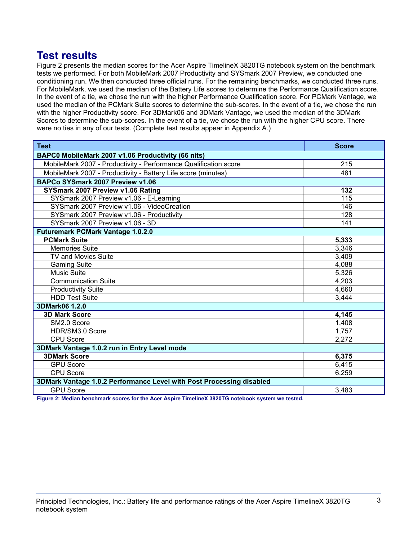## **Test results**

Figure 2 presents the median scores for the Acer Aspire TimelineX 3820TG notebook system on the benchmark tests we performed. For both MobileMark 2007 Productivity and SYSmark 2007 Preview, we conducted one conditioning run. We then conducted three official runs. For the remaining benchmarks, we conducted three runs. For MobileMark, we used the median of the Battery Life scores to determine the Performance Qualification score. In the event of a tie, we chose the run with the higher Performance Qualification score. For PCMark Vantage, we used the median of the PCMark Suite scores to determine the sub-scores. In the event of a tie, we chose the run with the higher Productivity score. For 3DMark06 and 3DMark Vantage, we used the median of the 3DMark Scores to determine the sub-scores. In the event of a tie, we chose the run with the higher CPU score. There were no ties in any of our tests. (Complete test results appear in Appendix A.)

| <b>Test</b>                                                          | <b>Score</b>     |  |
|----------------------------------------------------------------------|------------------|--|
| BAPC0 MobileMark 2007 v1.06 Productivity (66 nits)                   |                  |  |
| MobileMark 2007 - Productivity - Performance Qualification score     | 215              |  |
| MobileMark 2007 - Productivity - Battery Life score (minutes)        | 481              |  |
| BAPCo SYSmark 2007 Preview v1.06                                     |                  |  |
| SYSmark 2007 Preview v1.06 Rating                                    | 132              |  |
| SYSmark 2007 Preview v1.06 - E-Learning                              | $\overline{115}$ |  |
| SYSmark 2007 Preview v1.06 - VideoCreation                           | 146              |  |
| SYSmark 2007 Preview v1.06 - Productivity                            | 128              |  |
| SYSmark 2007 Preview v1.06 - 3D                                      | 141              |  |
| <b>Futuremark PCMark Vantage 1.0.2.0</b>                             |                  |  |
| <b>PCMark Suite</b>                                                  | 5,333            |  |
| <b>Memories Suite</b>                                                | 3,346            |  |
| <b>TV and Movies Suite</b>                                           | 3,409            |  |
| <b>Gaming Suite</b>                                                  | 4,088            |  |
| <b>Music Suite</b>                                                   | 5,326            |  |
| <b>Communication Suite</b>                                           | 4,203            |  |
| <b>Productivity Suite</b>                                            | 4,660            |  |
| <b>HDD Test Suite</b>                                                | 3,444            |  |
| 3DMark06 1.2.0                                                       |                  |  |
| <b>3D Mark Score</b>                                                 | 4,145            |  |
| SM2.0 Score                                                          | 1,408            |  |
| HDR/SM3.0 Score                                                      | 1,757            |  |
| <b>CPU Score</b>                                                     | 2,272            |  |
| 3DMark Vantage 1.0.2 run in Entry Level mode                         |                  |  |
| <b>3DMark Score</b>                                                  | 6,375            |  |
| <b>GPU Score</b>                                                     | 6,415            |  |
| <b>CPU Score</b>                                                     | 6,259            |  |
| 3DMark Vantage 1.0.2 Performance Level with Post Processing disabled |                  |  |
| <b>GPU Score</b>                                                     | 3,483            |  |

**Figure 2: Median benchmark scores for the Acer Aspire TimelineX 3820TG notebook system we tested.**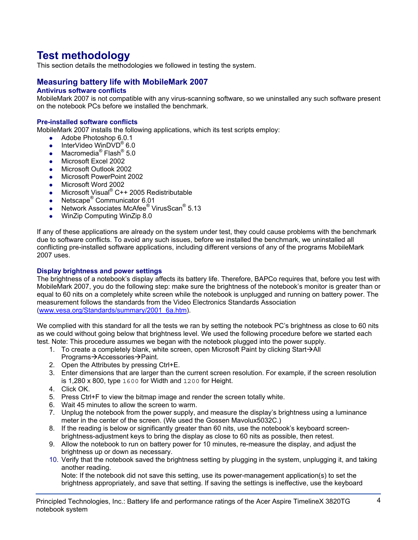# **Test methodology**

This section details the methodologies we followed in testing the system.

## **Measuring battery life with MobileMark 2007**

## **Antivirus software conflicts**

MobileMark 2007 is not compatible with any virus-scanning software, so we uninstalled any such software present on the notebook PCs before we installed the benchmark.

#### **Pre-installed software conflicts**

MobileMark 2007 installs the following applications, which its test scripts employ:

- $\bullet$  Adobe Photoshop 6.0.1
- InterVideo WinDVD<sup>®</sup> 6.0
- Macromedia<sup>®</sup> Flash<sup>®</sup> 5.0
- Microsoft Excel 2002
- Microsoft Outlook 2002
- Microsoft PowerPoint 2002
- Microsoft Word 2002
- Microsoft Visual® C++ 2005 Redistributable
- Netscape<sup>®</sup> Communicator 6.01
- Network Associates McAfee<sup>®</sup> VirusScan<sup>®</sup> 5.13
- WinZip Computing WinZip 8.0

If any of these applications are already on the system under test, they could cause problems with the benchmark due to software conflicts. To avoid any such issues, before we installed the benchmark, we uninstalled all conflicting pre-installed software applications, including different versions of any of the programs MobileMark 2007 uses.

#### **Display brightness and power settings**

The brightness of a notebook's display affects its battery life. Therefore, BAPCo requires that, before you test with MobileMark 2007, you do the following step: make sure the brightness of the notebook's monitor is greater than or equal to 60 nits on a completely white screen while the notebook is unplugged and running on battery power. The measurement follows the standards from the Video Electronics Standards Association (www.vesa.org/Standards/summary/2001\_6a.htm).

We complied with this standard for all the tests we ran by setting the notebook PC's brightness as close to 60 nits as we could without going below that brightness level. We used the following procedure before we started each test. Note: This procedure assumes we began with the notebook plugged into the power supply.

- 1. To create a completely blank, white screen, open Microsoft Paint by clicking Start $\rightarrow$ All Programs→Accessories→Paint.
- 2. Open the Attributes by pressing Ctrl+E.
- 3. Enter dimensions that are larger than the current screen resolution. For example, if the screen resolution is 1,280 x 800, type 1600 for Width and 1200 for Height.
- 4. Click OK.
- 5. Press Ctrl+F to view the bitmap image and render the screen totally white.
- 6. Wait 45 minutes to allow the screen to warm.
- 7. Unplug the notebook from the power supply, and measure the display's brightness using a luminance meter in the center of the screen. (We used the Gossen Mavolux5032C.)
- 8. If the reading is below or significantly greater than 60 nits, use the notebook's keyboard screenbrightness-adjustment keys to bring the display as close to 60 nits as possible, then retest.
- 9. Allow the notebook to run on battery power for 10 minutes, re-measure the display, and adjust the brightness up or down as necessary.
- 10. Verify that the notebook saved the brightness setting by plugging in the system, unplugging it, and taking another reading.

Note: If the notebook did not save this setting, use its power-management application(s) to set the brightness appropriately, and save that setting. If saving the settings is ineffective, use the keyboard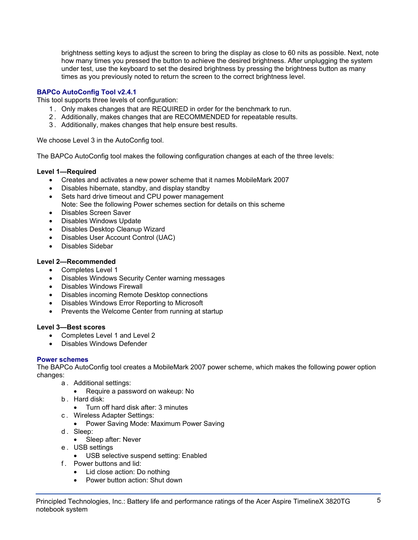brightness setting keys to adjust the screen to bring the display as close to 60 nits as possible. Next, note how many times you pressed the button to achieve the desired brightness. After unplugging the system under test, use the keyboard to set the desired brightness by pressing the brightness button as many times as you previously noted to return the screen to the correct brightness level.

## **BAPCo AutoConfig Tool v2.4.1**

This tool supports three levels of configuration:

- 1 . Only makes changes that are REQUIRED in order for the benchmark to run.
- 2 . Additionally, makes changes that are RECOMMENDED for repeatable results.
- 3 . Additionally, makes changes that help ensure best results.

We choose Level 3 in the AutoConfig tool.

The BAPCo AutoConfig tool makes the following configuration changes at each of the three levels:

## **Level 1—Required**

- Creates and activates a new power scheme that it names MobileMark 2007
- Disables hibernate, standby, and display standby
- Sets hard drive timeout and CPU power management Note: See the following Power schemes section for details on this scheme
- Disables Screen Saver
- Disables Windows Update
- Disables Desktop Cleanup Wizard
- Disables User Account Control (UAC)
- Disables Sidebar

## **Level 2—Recommended**

- Completes Level 1
- Disables Windows Security Center warning messages
- Disables Windows Firewall
- Disables incoming Remote Desktop connections
- Disables Windows Error Reporting to Microsoft
- Prevents the Welcome Center from running at startup

## **Level 3—Best scores**

- Completes Level 1 and Level 2
- Disables Windows Defender

## **Power schemes**

The BAPCo AutoConfig tool creates a MobileMark 2007 power scheme, which makes the following power option changes:

- a . Additional settings:
	- Require a password on wakeup: No
- b . Hard disk:
	- Turn off hard disk after: 3 minutes
- c . Wireless Adapter Settings:
	- Power Saving Mode: Maximum Power Saving
- d. Sleep:
	- Sleep after: Never
- e . USB settings
	- USB selective suspend setting: Enabled
- f . Power buttons and lid:
	- Lid close action: Do nothing
	- Power button action: Shut down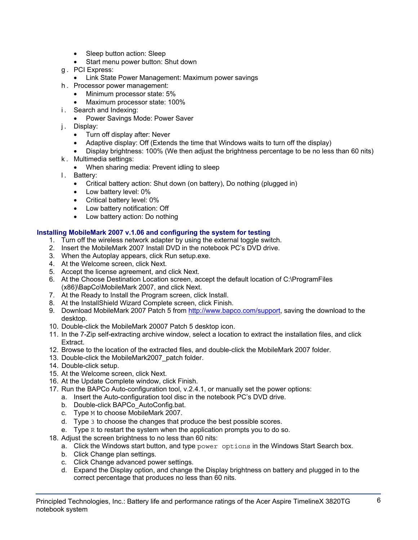- Sleep button action: Sleep
- Start menu power button: Shut down
- g . PCI Express:
	- Link State Power Management: Maximum power savings
- h . Processor power management:
	- Minimum processor state: 5%
	- Maximum processor state: 100%
- i. Search and Indexing:
	- Power Savings Mode: Power Saver
- j. Display:
	- Turn off display after: Never
	- Adaptive display: Off (Extends the time that Windows waits to turn off the display)
	- Display brightness: 100% (We then adjust the brightness percentage to be no less than 60 nits)
- k . Multimedia settings:
	- When sharing media: Prevent idling to sleep
- l. Battery:
	- Critical battery action: Shut down (on battery), Do nothing (plugged in)
	- Low battery level: 0%
	- Critical battery level: 0%
	- Low battery notification: Off
	- Low battery action: Do nothing

## **Installing MobileMark 2007 v.1.06 and configuring the system for testing**

- 1. Turn off the wireless network adapter by using the external toggle switch.
- 2. Insert the MobileMark 2007 Install DVD in the notebook PC's DVD drive.
- 3. When the Autoplay appears, click Run setup.exe.
- 4. At the Welcome screen, click Next.
- 5. Accept the license agreement, and click Next.
- 6. At the Choose Destination Location screen, accept the default location of C:\ProgramFiles (x86)\BapCo\MobileMark 2007, and click Next.
- 7. At the Ready to Install the Program screen, click Install.
- 8. At the InstallShield Wizard Complete screen, click Finish.
- 9. Download MobileMark 2007 Patch 5 from http://www.bapco.com/support, saving the download to the desktop.
- 10. Double-click the MobileMark 20007 Patch 5 desktop icon.
- 11. In the 7-Zip self-extracting archive window, select a location to extract the installation files, and click Extract.
- 12. Browse to the location of the extracted files, and double-click the MobileMark 2007 folder.
- 13. Double-click the MobileMark2007\_patch folder.
- 14. Double-click setup.
- 15. At the Welcome screen, click Next.
- 16. At the Update Complete window, click Finish.
- 17. Run the BAPCo Auto-configuration tool, v.2.4.1, or manually set the power options:
	- a. Insert the Auto-configuration tool disc in the notebook PC's DVD drive.
	- b. Double-click BAPCo\_AutoConfig.bat.
	- c. Type M to choose MobileMark 2007.
	- d. Type 3 to choose the changes that produce the best possible scores.
	- e. Type R to restart the system when the application prompts you to do so.
- 18. Adjust the screen brightness to no less than 60 nits:
	- a. Click the Windows start button, and type power options in the Windows Start Search box.
	- b. Click Change plan settings.
	- c. Click Change advanced power settings.
	- d. Expand the Display option, and change the Display brightness on battery and plugged in to the correct percentage that produces no less than 60 nits.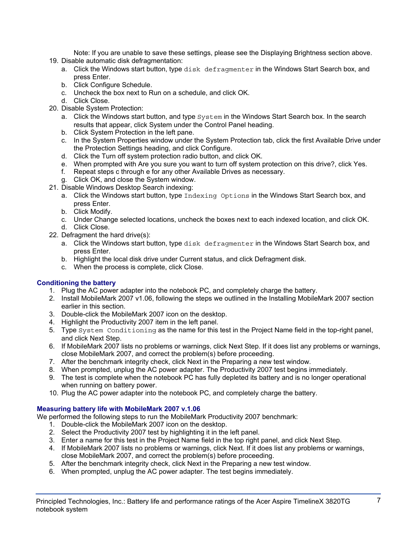Note: If you are unable to save these settings, please see the Displaying Brightness section above.

- 19. Disable automatic disk defragmentation:
	- a. Click the Windows start button, type disk defragmenter in the Windows Start Search box, and press Enter.
	- b. Click Configure Schedule.
	- c. Uncheck the box next to Run on a schedule, and click OK.
	- d. Click Close.
- 20. Disable System Protection:
	- a. Click the Windows start button, and type  $System$  in the Windows Start Search box. In the search results that appear, click System under the Control Panel heading.
	- b. Click System Protection in the left pane.
	- c. In the System Properties window under the System Protection tab, click the first Available Drive under the Protection Settings heading, and click Configure.
	- d. Click the Turn off system protection radio button, and click OK.
	- e. When prompted with Are you sure you want to turn off system protection on this drive?, click Yes.
	- f. Repeat steps c through e for any other Available Drives as necessary.
	- g. Click OK, and close the System window.
- 21. Disable Windows Desktop Search indexing:
	- a. Click the Windows start button, type Indexing Options in the Windows Start Search box, and press Enter.
	- b. Click Modify.
	- c. Under Change selected locations, uncheck the boxes next to each indexed location, and click OK. d. Click Close.
- 22. Defragment the hard drive(s):
	- a. Click the Windows start button, type disk defragmenter in the Windows Start Search box, and press Enter.
	- b. Highlight the local disk drive under Current status, and click Defragment disk.
	- c. When the process is complete, click Close.

## **Conditioning the battery**

- 1. Plug the AC power adapter into the notebook PC, and completely charge the battery.
- 2. Install MobileMark 2007 v1.06, following the steps we outlined in the Installing MobileMark 2007 section earlier in this section.
- 3. Double-click the MobileMark 2007 icon on the desktop.
- 4. Highlight the Productivity 2007 item in the left panel.
- 5. Type System Conditioning as the name for this test in the Project Name field in the top-right panel, and click Next Step.
- 6. If MobileMark 2007 lists no problems or warnings, click Next Step. If it does list any problems or warnings, close MobileMark 2007, and correct the problem(s) before proceeding.
- 7. After the benchmark integrity check, click Next in the Preparing a new test window.
- 8. When prompted, unplug the AC power adapter. The Productivity 2007 test begins immediately.
- 9. The test is complete when the notebook PC has fully depleted its battery and is no longer operational when running on battery power.
- 10. Plug the AC power adapter into the notebook PC, and completely charge the battery.

## **Measuring battery life with MobileMark 2007 v.1.06**

We performed the following steps to run the MobileMark Productivity 2007 benchmark:

- 1. Double-click the MobileMark 2007 icon on the desktop.
- 2. Select the Productivity 2007 test by highlighting it in the left panel.
- 3. Enter a name for this test in the Project Name field in the top right panel, and click Next Step.
- 4. If MobileMark 2007 lists no problems or warnings, click Next. If it does list any problems or warnings, close MobileMark 2007, and correct the problem(s) before proceeding.
- 5. After the benchmark integrity check, click Next in the Preparing a new test window.
- 6. When prompted, unplug the AC power adapter. The test begins immediately.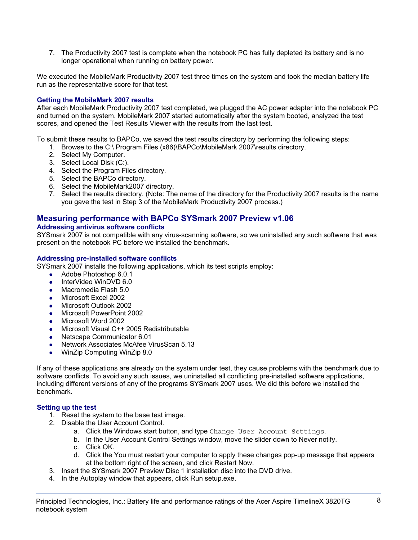7. The Productivity 2007 test is complete when the notebook PC has fully depleted its battery and is no longer operational when running on battery power.

We executed the MobileMark Productivity 2007 test three times on the system and took the median battery life run as the representative score for that test.

## **Getting the MobileMark 2007 results**

After each MobileMark Productivity 2007 test completed, we plugged the AC power adapter into the notebook PC and turned on the system. MobileMark 2007 started automatically after the system booted, analyzed the test scores, and opened the Test Results Viewer with the results from the last test.

To submit these results to BAPCo, we saved the test results directory by performing the following steps:

- 1. Browse to the C:\ Program Files (x86)\BAPCo\MobileMark 2007\results directory.
- 2. Select My Computer.
- 3. Select Local Disk (C:).
- 4. Select the Program Files directory.
- 5. Select the BAPCo directory.
- 6. Select the MobileMark2007 directory.
- 7. Select the results directory. (Note: The name of the directory for the Productivity 2007 results is the name you gave the test in Step 3 of the MobileMark Productivity 2007 process.)

## **Measuring performance with BAPCo SYSmark 2007 Preview v1.06**

#### **Addressing antivirus software conflicts**

SYSmark 2007 is not compatible with any virus-scanning software, so we uninstalled any such software that was present on the notebook PC before we installed the benchmark.

#### **Addressing pre-installed software conflicts**

SYSmark 2007 installs the following applications, which its test scripts employ:

- $\bullet$  Adobe Photoshop 6.0.1
- InterVideo WinDVD 6.0
- Macromedia Flash 5.0
- Microsoft Excel 2002
- Microsoft Outlook 2002
- Microsoft PowerPoint 2002
- Microsoft Word 2002
- Microsoft Visual C++ 2005 Redistributable
- Netscape Communicator 6.01
- Network Associates McAfee VirusScan 5.13
- WinZip Computing WinZip 8.0

If any of these applications are already on the system under test, they cause problems with the benchmark due to software conflicts. To avoid any such issues, we uninstalled all conflicting pre-installed software applications, including different versions of any of the programs SYSmark 2007 uses. We did this before we installed the benchmark.

## **Setting up the test**

- 1. Reset the system to the base test image.
- 2. Disable the User Account Control.
	- a. Click the Windows start button, and type Change User Account Settings.
	- b. In the User Account Control Settings window, move the slider down to Never notify.
	- c. Click OK.
	- d. Click the You must restart your computer to apply these changes pop-up message that appears at the bottom right of the screen, and click Restart Now.
- 3. Insert the SYSmark 2007 Preview Disc 1 installation disc into the DVD drive.
- 4. In the Autoplay window that appears, click Run setup.exe.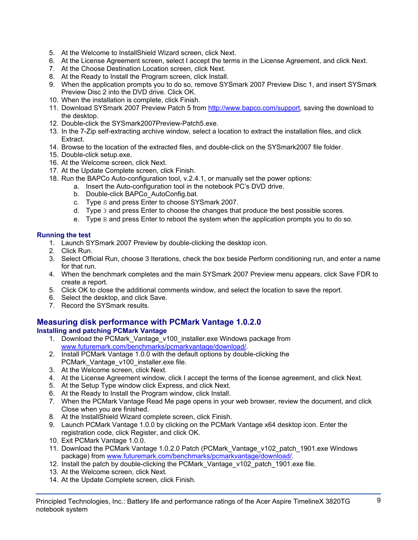- 5. At the Welcome to InstallShield Wizard screen, click Next.
- 6. At the License Agreement screen, select I accept the terms in the License Agreement, and click Next.
- 7. At the Choose Destination Location screen, click Next.
- 8. At the Ready to Install the Program screen, click Install.
- 9. When the application prompts you to do so, remove SYSmark 2007 Preview Disc 1, and insert SYSmark Preview Disc 2 into the DVD drive. Click OK.
- 10. When the installation is complete, click Finish.
- 11. Download SYSmark 2007 Preview Patch 5 from http://www.bapco.com/support, saving the download to the desktop.
- 12. Double-click the SYSmark2007Preview-Patch5.exe.
- 13. In the 7-Zip self-extracting archive window, select a location to extract the installation files, and click Extract.
- 14. Browse to the location of the extracted files, and double-click on the SYSmark2007 file folder.
- 15. Double-click setup.exe.
- 16. At the Welcome screen, click Next.
- 17. At the Update Complete screen, click Finish.
- 18. Run the BAPCo Auto-configuration tool, v.2.4.1, or manually set the power options:
	- a. Insert the Auto-configuration tool in the notebook PC's DVD drive.
		- b. Double-click BAPCo\_AutoConfig.bat.
		- c. Type S and press Enter to choose SYSmark 2007.
		- d. Type 3 and press Enter to choose the changes that produce the best possible scores.
		- e. Type  $R$  and press Enter to reboot the system when the application prompts you to do so.

## **Running the test**

- 1. Launch SYSmark 2007 Preview by double-clicking the desktop icon.
- 2. Click Run.
- 3. Select Official Run, choose 3 Iterations, check the box beside Perform conditioning run, and enter a name for that run.
- 4. When the benchmark completes and the main SYSmark 2007 Preview menu appears, click Save FDR to create a report.
- 5. Click OK to close the additional comments window, and select the location to save the report.
- 6. Select the desktop, and click Save.
- 7. Record the SYSmark results.

## **Measuring disk performance with PCMark Vantage 1.0.2.0**

## **Installing and patching PCMark Vantage**

- 1. Download the PCMark\_Vantage\_v100\_installer.exe Windows package from www.futuremark.com/benchmarks/pcmarkvantage/download/.
- 2. Install PCMark Vantage 1.0.0 with the default options by double-clicking the PCMark\_Vantage\_v100\_installer.exe file.
- 3. At the Welcome screen, click Next.
- 4. At the License Agreement window, click I accept the terms of the license agreement, and click Next.
- 5. At the Setup Type window click Express, and click Next.
- 6. At the Ready to Install the Program window, click Install.
- 7. When the PCMark Vantage Read Me page opens in your web browser, review the document, and click Close when you are finished.
- 8. At the InstallShield Wizard complete screen, click Finish.
- 9. Launch PCMark Vantage 1.0.0 by clicking on the PCMark Vantage x64 desktop icon. Enter the registration code, click Register, and click OK.
- 10. Exit PCMark Vantage 1.0.0.
- 11. Download the PCMark Vantage 1.0.2.0 Patch (PCMark\_Vantage\_v102\_patch\_1901.exe Windows package) from www.futuremark.com/benchmarks/pcmarkvantage/download/.
- 12. Install the patch by double-clicking the PCMark Vantage v102 patch 1901.exe file.
- 13. At the Welcome screen, click Next.
- 14. At the Update Complete screen, click Finish.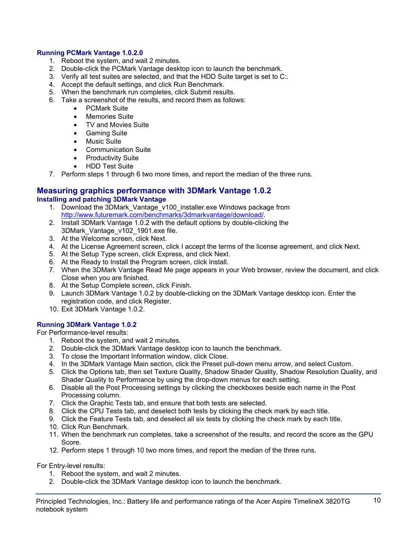## **Running PCMark Vantage 1.0.2.0**

- 1. Reboot the system, and wait 2 minutes.
- 2. Double-click the PCMark Vantage desktop icon to launch the benchmark.
- 3. Verify all test suites are selected, and that the HDD Suite target is set to C:.
- 4. Accept the default settings, and click Run Benchmark.
- 5. When the benchmark run completes, click Submit results.
- 6. Take a screenshot of the results, and record them as follows:
	- PCMark Suite
	- Memories Suite
	- TV and Movies Suite
	- Gaming Suite
	- Music Suite
	- Communication Suite
	- Productivity Suite
	- HDD Test Suite
- 7. Perform steps 1 through 6 two more times, and report the median of the three runs.

#### **Measuring graphics performance with 3DMark Vantage 1.0.2 Installing and patching 3DMark Vantage**

- 1. Download the 3DMark\_Vantage\_v100\_installer.exe Windows package from http://www.futuremark.com/benchmarks/3dmarkvantage/download/.
- 2. Install 3DMark Vantage 1.0.2 with the default options by double-clicking the 3DMark\_Vantage\_v102\_1901.exe file.
- 3. At the Welcome screen, click Next.
- 4. At the License Agreement screen, click I accept the terms of the license agreement, and click Next.
- 5. At the Setup Type screen, click Express, and click Next.
- 6. At the Ready to Install the Program screen, click Install.
- 7. When the 3DMark Vantage Read Me page appears in your Web browser, review the document, and click Close when you are finished.
- 8. At the Setup Complete screen, click Finish.
- 9. Launch 3DMark Vantage 1.0.2 by double-clicking on the 3DMark Vantage desktop icon. Enter the registration code, and click Register.
- 10. Exit 3DMark Vantage 1.0.2.

## **Running 3DMark Vantage 1.0.2**

For Performance-level results:

- 1. Reboot the system, and wait 2 minutes.
- 2. Double-click the 3DMark Vantage desktop icon to launch the benchmark.
- 3. To close the Important Information window, click Close.
- 4. In the 3DMark Vantage Main section, click the Preset pull-down menu arrow, and select Custom.
- 5. Click the Options tab, then set Texture Quality, Shadow Shader Quality, Shadow Resolution Quality, and Shader Quality to Performance by using the drop-down menus for each setting.
- 6. Disable all the Post Processing settings by clicking the checkboxes beside each name in the Post Processing column.
- 7. Click the Graphic Tests tab, and ensure that both tests are selected.
- 8. Click the CPU Tests tab, and deselect both tests by clicking the check mark by each title.
- 9. Click the Feature Tests tab, and deselect all six tests by clicking the check mark by each title.
- 10. Click Run Benchmark.
- 11. When the benchmark run completes, take a screenshot of the results, and record the score as the GPU Score.
- 12. Perform steps 1 through 10 two more times, and report the median of the three runs.

For Entry-level results:

- 1. Reboot the system, and wait 2 minutes.
- 2. Double-click the 3DMark Vantage desktop icon to launch the benchmark.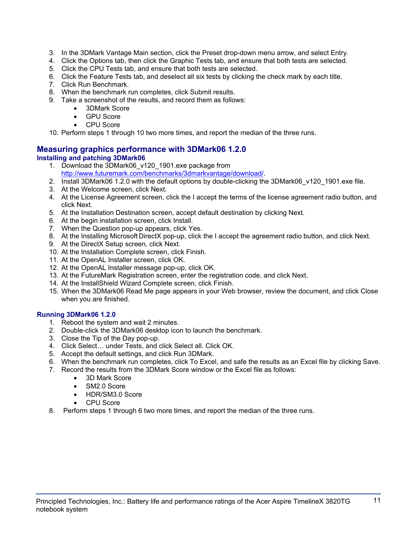- 3. In the 3DMark Vantage Main section, click the Preset drop-down menu arrow, and select Entry.
- 4. Click the Options tab, then click the Graphic Tests tab, and ensure that both tests are selected.
- 5. Click the CPU Tests tab, and ensure that both tests are selected.
- 6. Click the Feature Tests tab, and deselect all six tests by clicking the check mark by each title.
- 7. Click Run Benchmark.
- 8. When the benchmark run completes, click Submit results.
- 9. Take a screenshot of the results, and record them as follows:
	- 3DMark Score
	- **GPU Score**
	- CPU Score

10. Perform steps 1 through 10 two more times, and report the median of the three runs.

## **Measuring graphics performance with 3DMark06 1.2.0 Installing and patching 3DMark06**

- 1. Download the 3DMark06\_v120\_1901.exe package from http://www.futuremark.com/benchmarks/3dmarkvantage/download/.
- 2. Install 3DMark06 1.2.0 with the default options by double-clicking the 3DMark06 v120 1901.exe file.
- 3. At the Welcome screen, click Next.
- 4. At the License Agreement screen, click the I accept the terms of the license agreement radio button, and click Next.
- 5. At the Installation Destination screen, accept default destination by clicking Next.
- 6. At the begin installation screen, click Install.
- 7. When the Question pop-up appears, click Yes.
- 8. At the Installing Microsoft DirectX pop-up, click the I accept the agreement radio button, and click Next.
- 9. At the DirectX Setup screen, click Next.
- 10. At the Installation Complete screen, click Finish.
- 11. At the OpenAL Installer screen, click OK.
- 12. At the OpenAL Installer message pop-up, click OK.
- 13. At the FutureMark Registration screen, enter the registration code, and click Next.
- 14. At the InstallShield Wizard Complete screen, click Finish.
- 15. When the 3DMark06 Read Me page appears in your Web browser, review the document, and click Close when you are finished.

## **Running 3DMark06 1.2.0**

- 1. Reboot the system and wait 2 minutes.
- 2. Double-click the 3DMark06 desktop icon to launch the benchmark.
- 3. Close the Tip of the Day pop-up.
- 4. Click Select… under Tests, and click Select all. Click OK.
- 5. Accept the default settings, and click Run 3DMark.
- 6. When the benchmark run completes, click To Excel, and safe the results as an Excel file by clicking Save.
- 7. Record the results from the 3DMark Score window or the Excel file as follows:
	- 3D Mark Score
	- SM2.0 Score
	- HDR/SM3.0 Score
	- CPU Score
- 8. Perform steps 1 through 6 two more times, and report the median of the three runs.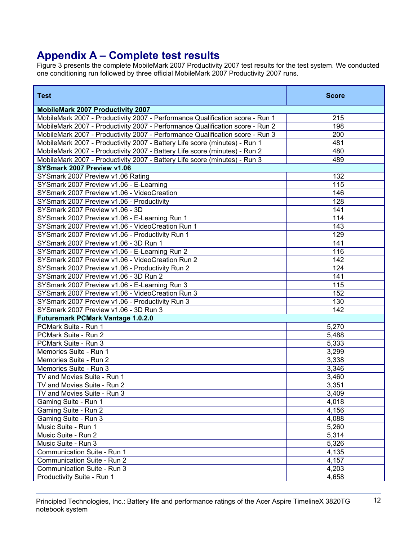## **Appendix A – Complete test results**

Figure 3 presents the complete MobileMark 2007 Productivity 2007 test results for the test system. We conducted one conditioning run followed by three official MobileMark 2007 Productivity 2007 runs.

| <b>Test</b>                                                                   | <b>Score</b> |
|-------------------------------------------------------------------------------|--------------|
| <b>MobileMark 2007 Productivity 2007</b>                                      |              |
| MobileMark 2007 - Productivity 2007 - Performance Qualification score - Run 1 | 215          |
| MobileMark 2007 - Productivity 2007 - Performance Qualification score - Run 2 | 198          |
| MobileMark 2007 - Productivity 2007 - Performance Qualification score - Run 3 | 200          |
| MobileMark 2007 - Productivity 2007 - Battery Life score (minutes) - Run 1    | 481          |
| MobileMark 2007 - Productivity 2007 - Battery Life score (minutes) - Run 2    | 480          |
| MobileMark 2007 - Productivity 2007 - Battery Life score (minutes) - Run 3    | 489          |
| SYSmark 2007 Preview v1.06                                                    |              |
| SYSmark 2007 Preview v1.06 Rating                                             | 132          |
| SYSmark 2007 Preview v1.06 - E-Learning                                       | 115          |
| SYSmark 2007 Preview v1.06 - VideoCreation                                    | 146          |
| SYSmark 2007 Preview v1.06 - Productivity                                     | 128          |
| SYSmark 2007 Preview v1.06 - 3D                                               | 141          |
| SYSmark 2007 Preview v1.06 - E-Learning Run 1                                 | 114          |
| SYSmark 2007 Preview v1.06 - VideoCreation Run 1                              | 143          |
| SYSmark 2007 Preview v1.06 - Productivity Run 1                               | 129          |
| SYSmark 2007 Preview v1.06 - 3D Run 1                                         | 141          |
| SYSmark 2007 Preview v1.06 - E-Learning Run 2                                 | 116          |
| SYSmark 2007 Preview v1.06 - VideoCreation Run 2                              | 142          |
| SYSmark 2007 Preview v1.06 - Productivity Run 2                               | 124          |
| SYSmark 2007 Preview v1.06 - 3D Run 2                                         | 141          |
| SYSmark 2007 Preview v1.06 - E-Learning Run 3                                 | 115          |
| SYSmark 2007 Preview v1.06 - VideoCreation Run 3                              | 152          |
| SYSmark 2007 Preview v1.06 - Productivity Run 3                               | 130          |
| SYSmark 2007 Preview v1.06 - 3D Run 3                                         | 142          |
| <b>Futuremark PCMark Vantage 1.0.2.0</b>                                      |              |
| PCMark Suite - Run 1                                                          | 5,270        |
| PCMark Suite - Run 2                                                          | 5,488        |
| PCMark Suite - Run 3                                                          | 5,333        |
| Memories Suite - Run 1                                                        | 3,299        |
| Memories Suite - Run 2                                                        | 3,338        |
| Memories Suite - Run 3                                                        | 3,346        |
| TV and Movies Suite - Run 1                                                   | 3,460        |
| TV and Movies Suite - Run 2                                                   | 3,351        |
| TV and Movies Suite - Run 3                                                   | 3,409        |
| Gaming Suite - Run 1                                                          | 4,018        |
| Gaming Suite - Run 2                                                          | 4,156        |
| Gaming Suite - Run 3                                                          | 4,088        |
| Music Suite - Run 1                                                           | 5,260        |
| Music Suite - Run 2                                                           | 5,314        |
| Music Suite - Run 3                                                           | 5,326        |
| Communication Suite - Run 1                                                   | 4,135        |
| Communication Suite - Run 2                                                   | 4,157        |
| Communication Suite - Run 3                                                   | 4,203        |
| Productivity Suite - Run 1                                                    | 4,658        |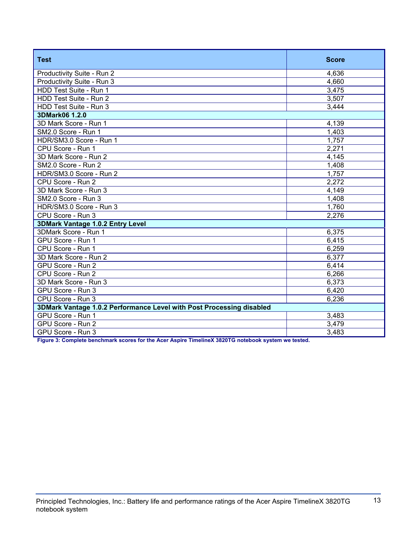| <b>Test</b>                                                          | <b>Score</b> |  |
|----------------------------------------------------------------------|--------------|--|
| Productivity Suite - Run 2                                           | 4,636        |  |
| Productivity Suite - Run 3                                           | 4,660        |  |
| HDD Test Suite - Run 1                                               | 3,475        |  |
| HDD Test Suite - Run 2                                               | 3,507        |  |
| HDD Test Suite - Run 3                                               | 3,444        |  |
| 3DMark06 1.2.0                                                       |              |  |
| 3D Mark Score - Run 1                                                | 4,139        |  |
| SM2.0 Score - Run 1                                                  | 1,403        |  |
| HDR/SM3.0 Score - Run 1                                              | 1,757        |  |
| CPU Score - Run 1                                                    | 2,271        |  |
| 3D Mark Score - Run 2                                                | 4,145        |  |
| SM2.0 Score - Run 2                                                  | 1,408        |  |
| HDR/SM3.0 Score - Run 2                                              | 1,757        |  |
| CPU Score - Run 2                                                    | 2,272        |  |
| 3D Mark Score - Run 3                                                | 4,149        |  |
| SM2.0 Score - Run 3                                                  | 1,408        |  |
| HDR/SM3.0 Score - Run 3                                              | 1,760        |  |
| CPU Score - Run 3                                                    | 2,276        |  |
| 3DMark Vantage 1.0.2 Entry Level                                     |              |  |
| 3DMark Score - Run 1                                                 | 6,375        |  |
| GPU Score - Run 1                                                    | 6,415        |  |
| CPU Score - Run 1                                                    | 6,259        |  |
| 3D Mark Score - Run 2                                                | 6,377        |  |
| GPU Score - Run 2                                                    | 6,414        |  |
| CPU Score - Run 2                                                    | 6,266        |  |
| 3D Mark Score - Run 3                                                | 6,373        |  |
| GPU Score - Run 3                                                    | 6,420        |  |
| CPU Score - Run 3                                                    | 6,236        |  |
| 3DMark Vantage 1.0.2 Performance Level with Post Processing disabled |              |  |
| GPU Score - Run 1                                                    | 3,483        |  |
| GPU Score - Run 2                                                    | 3,479        |  |
| GPU Score - Run 3                                                    | 3,483        |  |

**Figure 3: Complete benchmark scores for the Acer Aspire TimelineX 3820TG notebook system we tested.**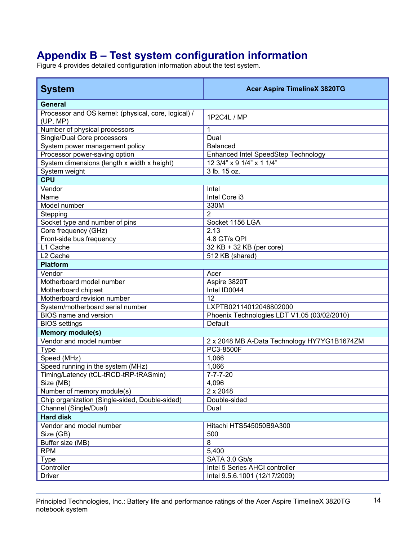# **Appendix B – Test system configuration information**

Figure 4 provides detailed configuration information about the test system.

| <b>System</b>                                                    | <b>Acer Aspire TimelineX 3820TG</b>         |
|------------------------------------------------------------------|---------------------------------------------|
| <b>General</b>                                                   |                                             |
| Processor and OS kernel: (physical, core, logical) /<br>(UP, MP) | 1P2C4L / MP                                 |
| Number of physical processors                                    | 1                                           |
| Single/Dual Core processors                                      | Dual                                        |
| System power management policy                                   | <b>Balanced</b>                             |
| Processor power-saving option                                    | Enhanced Intel SpeedStep Technology         |
| System dimensions (length x width x height)                      | 12 3/4" x 9 1/4" x 1 1/4"                   |
| System weight                                                    | 3 lb. 15 oz.                                |
| <b>CPU</b>                                                       |                                             |
| Vendor                                                           | Intel                                       |
| Name                                                             | Intel Core i3                               |
| Model number                                                     | 330M                                        |
| Stepping                                                         | $\overline{2}$                              |
| Socket type and number of pins                                   | Socket 1156 LGA                             |
| Core frequency (GHz)                                             | 2.13                                        |
| Front-side bus frequency                                         | 4.8 GT/s QPI                                |
| L1 Cache                                                         | 32 KB + 32 KB (per core)                    |
| L <sub>2</sub> Cache                                             | 512 KB (shared)                             |
| <b>Platform</b>                                                  |                                             |
| Vendor                                                           | Acer                                        |
| Motherboard model number                                         | Aspire 3820T                                |
| Motherboard chipset                                              | Intel ID0044                                |
| Motherboard revision number                                      | 12                                          |
| System/motherboard serial number                                 | LXPTB02114012046802000                      |
| BIOS name and version                                            | Phoenix Technologies LDT V1.05 (03/02/2010) |
| <b>BIOS</b> settings                                             | Default                                     |
| <b>Memory module(s)</b>                                          |                                             |
| Vendor and model number                                          | 2 x 2048 MB A-Data Technology HY7YG1B1674ZM |
| <b>Type</b>                                                      | PC3-8500F                                   |
| Speed (MHz)                                                      | 1,066                                       |
| Speed running in the system (MHz)                                | 1,066                                       |
| Timing/Latency (tCL-tRCD-tRP-tRASmin)                            | $7 - 7 - 7 - 20$                            |
| Size (MB)                                                        | 4,096                                       |
| Number of memory module(s)                                       | 2 x 2048                                    |
| Chip organization (Single-sided, Double-sided)                   | Double-sided                                |
| Channel (Single/Dual)                                            | Dual                                        |
| <b>Hard disk</b>                                                 |                                             |
| Vendor and model number                                          | Hitachi HTS545050B9A300                     |
| Size (GB)                                                        | 500                                         |
| Buffer size (MB)                                                 | 8                                           |
| <b>RPM</b>                                                       | 5,400                                       |
| <b>Type</b>                                                      | SATA 3.0 Gb/s                               |
| Controller                                                       | Intel 5 Series AHCI controller              |
| <b>Driver</b>                                                    | Intel 9.5.6.1001 (12/17/2009)               |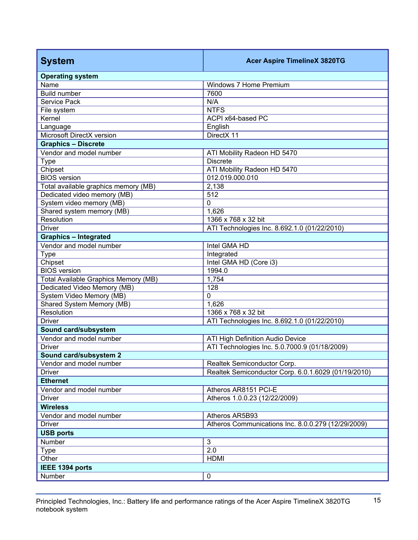| <b>System</b>                               | <b>Acer Aspire TimelineX 3820TG</b>                 |  |
|---------------------------------------------|-----------------------------------------------------|--|
| <b>Operating system</b>                     |                                                     |  |
| Name                                        | Windows 7 Home Premium                              |  |
| <b>Build number</b>                         | 7600                                                |  |
| Service Pack                                | N/A                                                 |  |
| File system                                 | <b>NTFS</b>                                         |  |
| Kernel                                      | ACPI x64-based PC                                   |  |
| Language                                    | English                                             |  |
| Microsoft DirectX version                   | DirectX 11                                          |  |
| <b>Graphics - Discrete</b>                  |                                                     |  |
| Vendor and model number                     | ATI Mobility Radeon HD 5470                         |  |
| <b>Type</b>                                 | <b>Discrete</b>                                     |  |
| Chipset                                     | ATI Mobility Radeon HD 5470                         |  |
| <b>BIOS</b> version                         | 012.019.000.010                                     |  |
| Total available graphics memory (MB)        | 2,138                                               |  |
| Dedicated video memory (MB)                 | 512                                                 |  |
| System video memory (MB)                    | 0                                                   |  |
| Shared system memory (MB)                   | 1,626                                               |  |
| Resolution                                  | 1366 x 768 x 32 bit                                 |  |
| <b>Driver</b>                               | ATI Technologies Inc. 8.692.1.0 (01/22/2010)        |  |
| <b>Graphics - Integrated</b>                |                                                     |  |
| Vendor and model number                     | Intel GMA HD                                        |  |
| <b>Type</b>                                 | Integrated                                          |  |
| Chipset                                     | Intel GMA HD (Core i3)                              |  |
| <b>BIOS</b> version                         | 1994.0                                              |  |
| <b>Total Available Graphics Memory (MB)</b> | 1,754                                               |  |
| Dedicated Video Memory (MB)                 | 128                                                 |  |
| System Video Memory (MB)                    | $\mathbf 0$                                         |  |
| Shared System Memory (MB)                   | 1,626                                               |  |
| Resolution                                  | 1366 x 768 x 32 bit                                 |  |
| <b>Driver</b>                               | ATI Technologies Inc. 8.692.1.0 (01/22/2010)        |  |
| Sound card/subsystem                        |                                                     |  |
| Vendor and model number                     | ATI High Definition Audio Device                    |  |
| <b>Driver</b>                               | ATI Technologies Inc. 5.0.7000.9 (01/18/2009)       |  |
| Sound card/subsystem 2                      |                                                     |  |
| Vendor and model number                     | Realtek Semiconductor Corp.                         |  |
| <b>Driver</b>                               | Realtek Semiconductor Corp. 6.0.1.6029 (01/19/2010) |  |
| <b>Ethernet</b>                             |                                                     |  |
| Vendor and model number                     | Atheros AR8151 PCI-E                                |  |
| <b>Driver</b>                               | Atheros 1.0.0.23 (12/22/2009)                       |  |
| <b>Wireless</b>                             |                                                     |  |
| Vendor and model number                     | Atheros AR5B93                                      |  |
| <b>Driver</b>                               | Atheros Communications Inc. 8.0.0.279 (12/29/2009)  |  |
| <b>USB ports</b>                            |                                                     |  |
| Number                                      | $\mathbf{3}$                                        |  |
| <b>Type</b>                                 | 2.0                                                 |  |
| Other                                       | <b>HDMI</b>                                         |  |
| IEEE 1394 ports                             |                                                     |  |
| Number                                      | $\pmb{0}$                                           |  |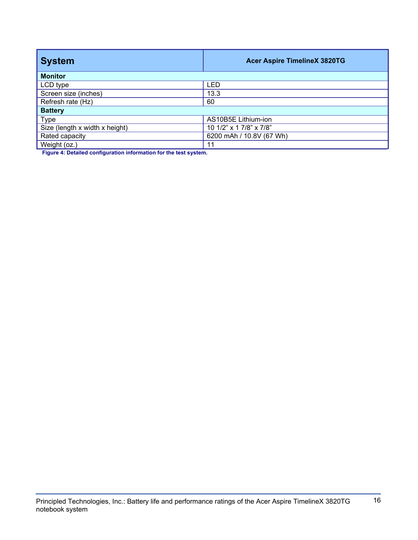| <b>Acer Aspire TimelineX 3820TG</b> |  |  |
|-------------------------------------|--|--|
| <b>Monitor</b>                      |  |  |
| LED                                 |  |  |
| 13.3                                |  |  |
|                                     |  |  |
| <b>Battery</b>                      |  |  |
| AS10B5E Lithium-ion                 |  |  |
| 10 1/2" x 1 7/8" x 7/8"             |  |  |
| 6200 mAh / 10.8V (67 Wh)            |  |  |
|                                     |  |  |
|                                     |  |  |

**Figure 4: Detailed configuration information for the test system.**